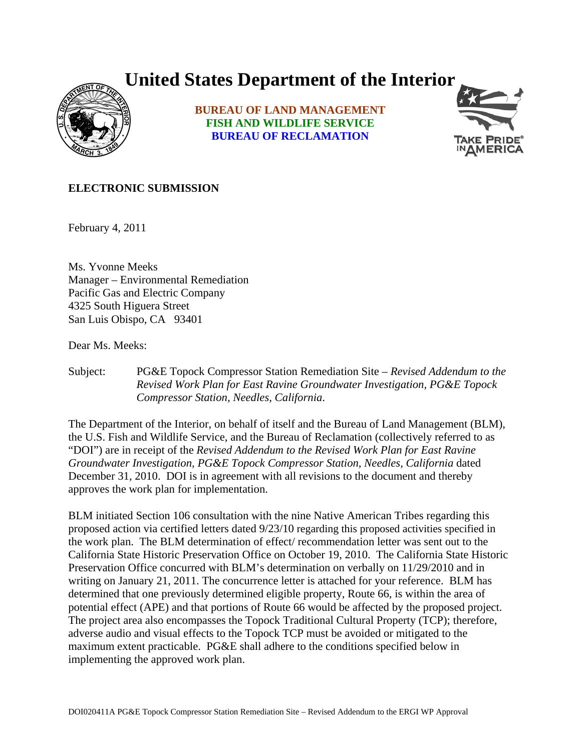## **United States Department of the Interior**



**BUREAU OF LAND MANAGEMENT FISH AND WILDLIFE SERVICE BUREAU OF RECLAMATION**



## **ELECTRONIC SUBMISSION**

February 4, 2011

Ms. Yvonne Meeks Manager – Environmental Remediation Pacific Gas and Electric Company 4325 South Higuera Street San Luis Obispo, CA 93401

Dear Ms. Meeks:

Subject: PG&E Topock Compressor Station Remediation Site – *Revised Addendum to the Revised Work Plan for East Ravine Groundwater Investigation, PG&E Topock Compressor Station, Needles, California*.

The Department of the Interior, on behalf of itself and the Bureau of Land Management (BLM), the U.S. Fish and Wildlife Service, and the Bureau of Reclamation (collectively referred to as "DOI") are in receipt of the *Revised Addendum to the Revised Work Plan for East Ravine Groundwater Investigation, PG&E Topock Compressor Station, Needles, California* dated December 31, 2010. DOI is in agreement with all revisions to the document and thereby approves the work plan for implementation.

BLM initiated Section 106 consultation with the nine Native American Tribes regarding this proposed action via certified letters dated 9/23/10 regarding this proposed activities specified in the work plan. The BLM determination of effect/ recommendation letter was sent out to the California State Historic Preservation Office on October 19, 2010. The California State Historic Preservation Office concurred with BLM's determination on verbally on 11/29/2010 and in writing on January 21, 2011. The concurrence letter is attached for your reference. BLM has determined that one previously determined eligible property, Route 66, is within the area of potential effect (APE) and that portions of Route 66 would be affected by the proposed project. The project area also encompasses the Topock Traditional Cultural Property (TCP); therefore, adverse audio and visual effects to the Topock TCP must be avoided or mitigated to the maximum extent practicable. PG&E shall adhere to the conditions specified below in implementing the approved work plan.